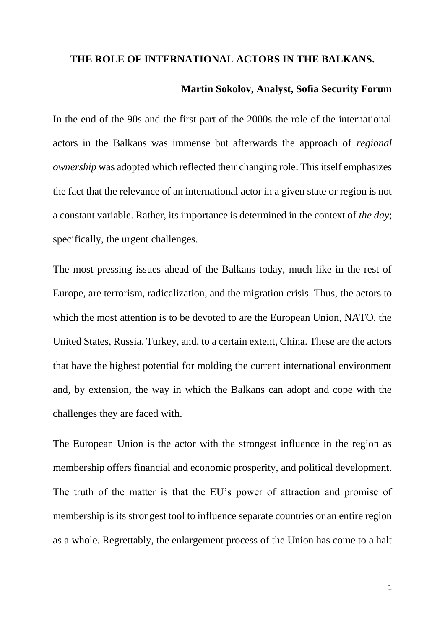## **THE ROLE OF INTERNATIONAL ACTORS IN THE BALKANS.**

## **Martin Sokolov, Analyst, Sofia Security Forum**

In the end of the 90s and the first part of the 2000s the role of the international actors in the Balkans was immense but afterwards the approach of *regional ownership* was adopted which reflected their changing role. This itself emphasizes the fact that the relevance of an international actor in a given state or region is not a constant variable. Rather, its importance is determined in the context of *the day*; specifically, the urgent challenges.

The most pressing issues ahead of the Balkans today, much like in the rest of Europe, are terrorism, radicalization, and the migration crisis. Thus, the actors to which the most attention is to be devoted to are the European Union, NATO, the United States, Russia, Turkey, and, to a certain extent, China. These are the actors that have the highest potential for molding the current international environment and, by extension, the way in which the Balkans can adopt and cope with the challenges they are faced with.

The European Union is the actor with the strongest influence in the region as membership offers financial and economic prosperity, and political development. The truth of the matter is that the EU's power of attraction and promise of membership is its strongest tool to influence separate countries or an entire region as a whole. Regrettably, the enlargement process of the Union has come to a halt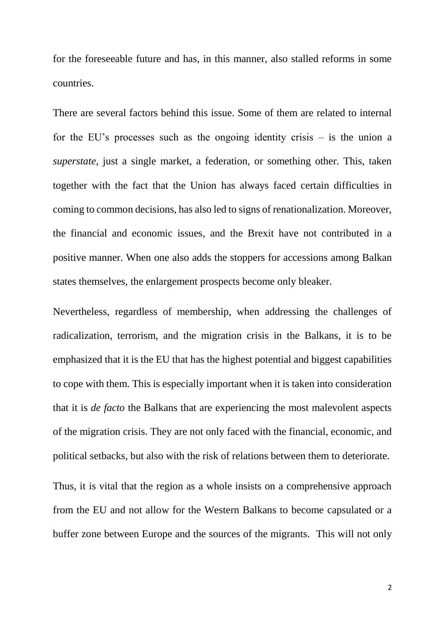for the foreseeable future and has, in this manner, also stalled reforms in some countries.

There are several factors behind this issue. Some of them are related to internal for the EU's processes such as the ongoing identity crisis  $-$  is the union a *superstate*, just a single market, a federation, or something other. This, taken together with the fact that the Union has always faced certain difficulties in coming to common decisions, has also led to signs of renationalization. Moreover, the financial and economic issues, and the Brexit have not contributed in a positive manner. When one also adds the stoppers for accessions among Balkan states themselves, the enlargement prospects become only bleaker.

Nevertheless, regardless of membership, when addressing the challenges of radicalization, terrorism, and the migration crisis in the Balkans, it is to be emphasized that it is the EU that has the highest potential and biggest capabilities to cope with them. This is especially important when it is taken into consideration that it is *de facto* the Balkans that are experiencing the most malevolent aspects of the migration crisis. They are not only faced with the financial, economic, and political setbacks, but also with the risk of relations between them to deteriorate.

Thus, it is vital that the region as a whole insists on a comprehensive approach from the EU and not allow for the Western Balkans to become capsulated or a buffer zone between Europe and the sources of the migrants. This will not only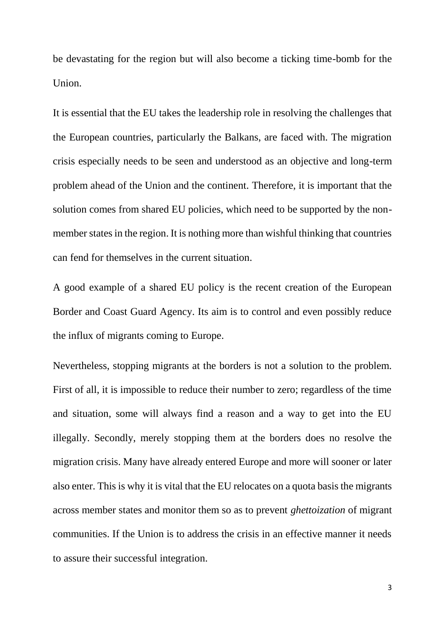be devastating for the region but will also become a ticking time-bomb for the Union.

It is essential that the EU takes the leadership role in resolving the challenges that the European countries, particularly the Balkans, are faced with. The migration crisis especially needs to be seen and understood as an objective and long-term problem ahead of the Union and the continent. Therefore, it is important that the solution comes from shared EU policies, which need to be supported by the nonmember states in the region. It is nothing more than wishful thinking that countries can fend for themselves in the current situation.

A good example of a shared EU policy is the recent creation of the European Border and Coast Guard Agency. Its aim is to control and even possibly reduce the influx of migrants coming to Europe.

Nevertheless, stopping migrants at the borders is not a solution to the problem. First of all, it is impossible to reduce their number to zero; regardless of the time and situation, some will always find a reason and a way to get into the EU illegally. Secondly, merely stopping them at the borders does no resolve the migration crisis. Many have already entered Europe and more will sooner or later also enter. This is why it is vital that the EU relocates on a quota basis the migrants across member states and monitor them so as to prevent *ghettoization* of migrant communities. If the Union is to address the crisis in an effective manner it needs to assure their successful integration.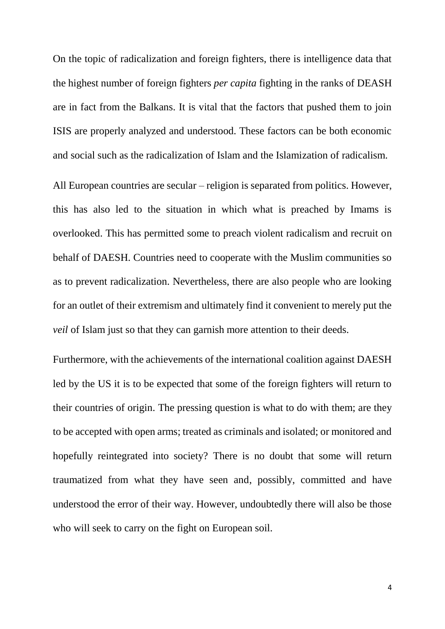On the topic of radicalization and foreign fighters, there is intelligence data that the highest number of foreign fighters *per capita* fighting in the ranks of DEASH are in fact from the Balkans. It is vital that the factors that pushed them to join ISIS are properly analyzed and understood. These factors can be both economic and social such as the radicalization of Islam and the Islamization of radicalism.

All European countries are secular – religion is separated from politics. However, this has also led to the situation in which what is preached by Imams is overlooked. This has permitted some to preach violent radicalism and recruit on behalf of DAESH. Countries need to cooperate with the Muslim communities so as to prevent radicalization. Nevertheless, there are also people who are looking for an outlet of their extremism and ultimately find it convenient to merely put the *veil* of Islam just so that they can garnish more attention to their deeds.

Furthermore, with the achievements of the international coalition against DAESH led by the US it is to be expected that some of the foreign fighters will return to their countries of origin. The pressing question is what to do with them; are they to be accepted with open arms; treated as criminals and isolated; or monitored and hopefully reintegrated into society? There is no doubt that some will return traumatized from what they have seen and, possibly, committed and have understood the error of their way. However, undoubtedly there will also be those who will seek to carry on the fight on European soil.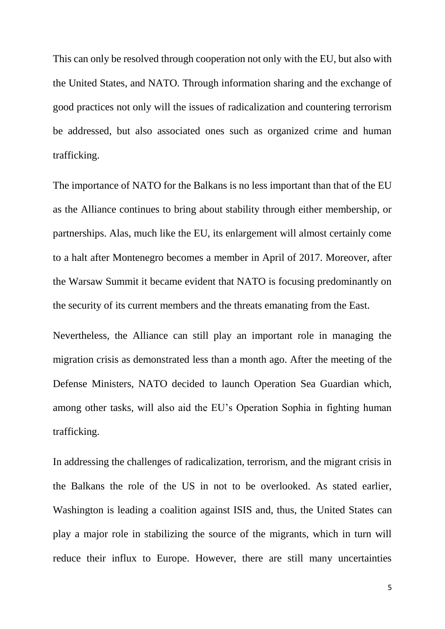This can only be resolved through cooperation not only with the EU, but also with the United States, and NATO. Through information sharing and the exchange of good practices not only will the issues of radicalization and countering terrorism be addressed, but also associated ones such as organized crime and human trafficking.

The importance of NATO for the Balkans is no less important than that of the EU as the Alliance continues to bring about stability through either membership, or partnerships. Alas, much like the EU, its enlargement will almost certainly come to a halt after Montenegro becomes a member in April of 2017. Moreover, after the Warsaw Summit it became evident that NATO is focusing predominantly on the security of its current members and the threats emanating from the East.

Nevertheless, the Alliance can still play an important role in managing the migration crisis as demonstrated less than a month ago. After the meeting of the Defense Ministers, NATO decided to launch Operation Sea Guardian which, among other tasks, will also aid the EU's Operation Sophia in fighting human trafficking.

In addressing the challenges of radicalization, terrorism, and the migrant crisis in the Balkans the role of the US in not to be overlooked. As stated earlier, Washington is leading a coalition against ISIS and, thus, the United States can play a major role in stabilizing the source of the migrants, which in turn will reduce their influx to Europe. However, there are still many uncertainties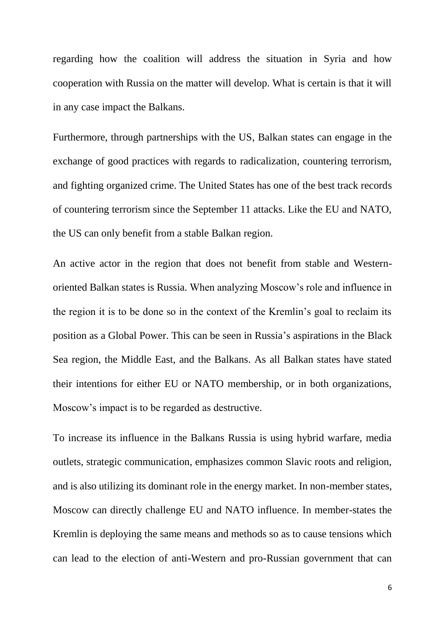regarding how the coalition will address the situation in Syria and how cooperation with Russia on the matter will develop. What is certain is that it will in any case impact the Balkans.

Furthermore, through partnerships with the US, Balkan states can engage in the exchange of good practices with regards to radicalization, countering terrorism, and fighting organized crime. The United States has one of the best track records of countering terrorism since the September 11 attacks. Like the EU and NATO, the US can only benefit from a stable Balkan region.

An active actor in the region that does not benefit from stable and Westernoriented Balkan states is Russia. When analyzing Moscow's role and influence in the region it is to be done so in the context of the Kremlin's goal to reclaim its position as a Global Power. This can be seen in Russia's aspirations in the Black Sea region, the Middle East, and the Balkans. As all Balkan states have stated their intentions for either EU or NATO membership, or in both organizations, Moscow's impact is to be regarded as destructive.

To increase its influence in the Balkans Russia is using hybrid warfare, media outlets, strategic communication, emphasizes common Slavic roots and religion, and is also utilizing its dominant role in the energy market. In non-member states, Moscow can directly challenge EU and NATO influence. In member-states the Kremlin is deploying the same means and methods so as to cause tensions which can lead to the election of anti-Western and pro-Russian government that can

6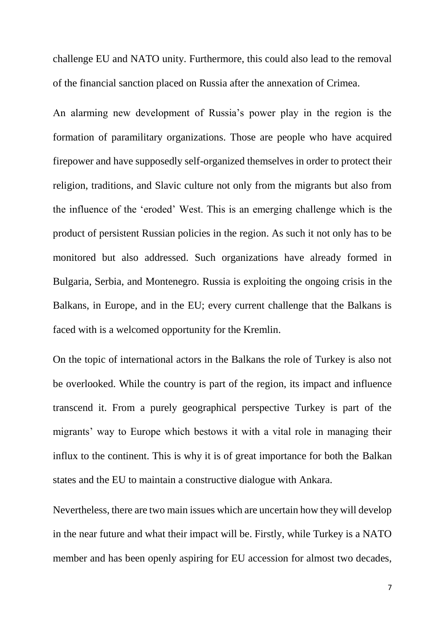challenge EU and NATO unity. Furthermore, this could also lead to the removal of the financial sanction placed on Russia after the annexation of Crimea.

An alarming new development of Russia's power play in the region is the formation of paramilitary organizations. Those are people who have acquired firepower and have supposedly self-organized themselves in order to protect their religion, traditions, and Slavic culture not only from the migrants but also from the influence of the 'eroded' West. This is an emerging challenge which is the product of persistent Russian policies in the region. As such it not only has to be monitored but also addressed. Such organizations have already formed in Bulgaria, Serbia, and Montenegro. Russia is exploiting the ongoing crisis in the Balkans, in Europe, and in the EU; every current challenge that the Balkans is faced with is a welcomed opportunity for the Kremlin.

On the topic of international actors in the Balkans the role of Turkey is also not be overlooked. While the country is part of the region, its impact and influence transcend it. From a purely geographical perspective Turkey is part of the migrants' way to Europe which bestows it with a vital role in managing their influx to the continent. This is why it is of great importance for both the Balkan states and the EU to maintain a constructive dialogue with Ankara.

Nevertheless, there are two main issues which are uncertain how they will develop in the near future and what their impact will be. Firstly, while Turkey is a NATO member and has been openly aspiring for EU accession for almost two decades,

7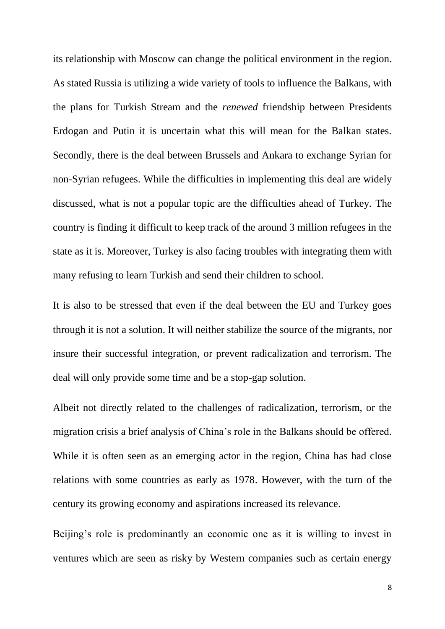its relationship with Moscow can change the political environment in the region. As stated Russia is utilizing a wide variety of tools to influence the Balkans, with the plans for Turkish Stream and the *renewed* friendship between Presidents Erdogan and Putin it is uncertain what this will mean for the Balkan states. Secondly, there is the deal between Brussels and Ankara to exchange Syrian for non-Syrian refugees. While the difficulties in implementing this deal are widely discussed, what is not a popular topic are the difficulties ahead of Turkey. The country is finding it difficult to keep track of the around 3 million refugees in the state as it is. Moreover, Turkey is also facing troubles with integrating them with many refusing to learn Turkish and send their children to school.

It is also to be stressed that even if the deal between the EU and Turkey goes through it is not a solution. It will neither stabilize the source of the migrants, nor insure their successful integration, or prevent radicalization and terrorism. The deal will only provide some time and be a stop-gap solution.

Albeit not directly related to the challenges of radicalization, terrorism, or the migration crisis a brief analysis of China's role in the Balkans should be offered. While it is often seen as an emerging actor in the region, China has had close relations with some countries as early as 1978. However, with the turn of the century its growing economy and aspirations increased its relevance.

Beijing's role is predominantly an economic one as it is willing to invest in ventures which are seen as risky by Western companies such as certain energy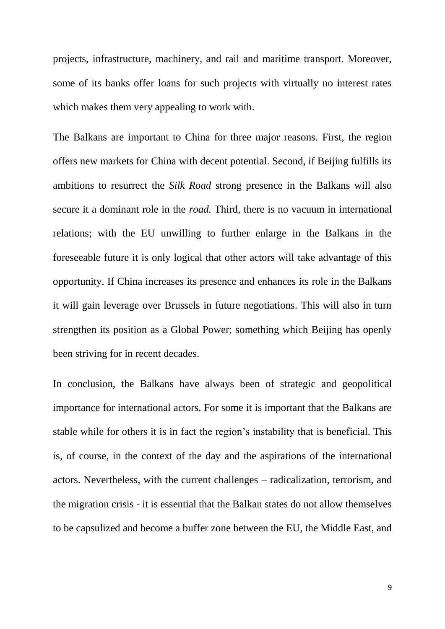projects, infrastructure, machinery, and rail and maritime transport. Moreover, some of its banks offer loans for such projects with virtually no interest rates which makes them very appealing to work with.

The Balkans are important to China for three major reasons. First, the region offers new markets for China with decent potential. Second, if Beijing fulfills its ambitions to resurrect the *Silk Road* strong presence in the Balkans will also secure it a dominant role in the *road.* Third, there is no vacuum in international relations; with the EU unwilling to further enlarge in the Balkans in the foreseeable future it is only logical that other actors will take advantage of this opportunity. If China increases its presence and enhances its role in the Balkans it will gain leverage over Brussels in future negotiations. This will also in turn strengthen its position as a Global Power; something which Beijing has openly been striving for in recent decades.

In conclusion, the Balkans have always been of strategic and geopolitical importance for international actors. For some it is important that the Balkans are stable while for others it is in fact the region's instability that is beneficial. This is, of course, in the context of the day and the aspirations of the international actors. Nevertheless, with the current challenges – radicalization, terrorism, and the migration crisis - it is essential that the Balkan states do not allow themselves to be capsulized and become a buffer zone between the EU, the Middle East, and